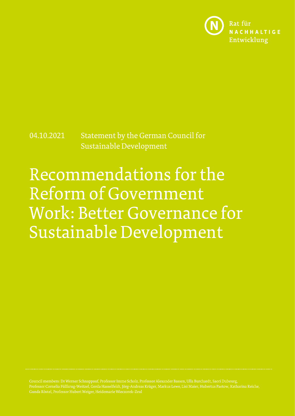

# 04.10.2021 Statement by the German Council for Sustainable Development

# Recommendations for the Reform of Government Work: Better Governance for Sustainable Development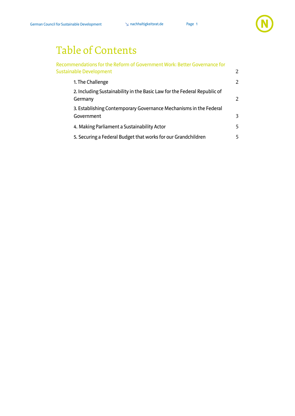

# Table of Contents

| Recommendations for the Reform of Government Work: Better Governance for<br>Sustainable Development | 2             |
|-----------------------------------------------------------------------------------------------------|---------------|
| 1. The Challenge                                                                                    | 2             |
| 2. Including Sustainability in the Basic Law for the Federal Republic of<br>Germany                 | $\mathcal{P}$ |
| 3. Establishing Contemporary Governance Mechanisms in the Federal<br>Government                     | 3             |
| 4. Making Parliament a Sustainability Actor                                                         | 5             |
| 5. Securing a Federal Budget that works for our Grandchildren                                       | 5.            |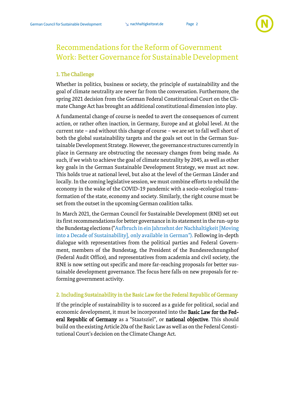

## <span id="page-2-0"></span>Recommendations for the Reform of Government Work: Better Governance for Sustainable Development

#### <span id="page-2-1"></span>1. The Challenge

Whether in politics, business or society, the principle of sustainability and the goal of climate neutrality are never far from the conversation. Furthermore, the spring 2021 decision from the German Federal Constitutional Court on the Climate Change Act has brought an additional constitutional dimension into play.

A fundamental change of course is needed to avert the consequences of current action, or rather often inaction, in Germany, Europe and at global level. At the current rate – and without this change of course – we are set to fall well short of both the global sustainability targets and the goals set out in the German Sustainable Development Strategy. However, the governance structures currently in place in Germany are obstructing the necessary changes from being made. As such, if we wish to achieve the goal of climate neutrality by 2045, as well as other key goals in the German Sustainable Development Strategy, we must act now. This holds true at national level, but also at the level of the German Länder and locally. In the coming legislative session, we must combine efforts to rebuild the economy in the wake of the COVID-19 pandemic with a socio-ecological transformation of the state, economy and society. Similarly, the right course must be set from the outset in the upcoming German coalition talks.

In March 2021, the German Council for Sustainable Development (RNE) set out its first recommendations for better governance in its statement in the run-up to the Bundestag elections ("[Aufbruch in ein Jahrzehnt der Nachhaltigkeit\[Moving](https://www.nachhaltigkeitsrat.de/wp-content/uploads/2021/04/20210302_RNE-Stellungnahme_Bundestagswahl.pdf)  [into a Decade of Sustainability\], only available in German](https://www.nachhaltigkeitsrat.de/wp-content/uploads/2021/04/20210302_RNE-Stellungnahme_Bundestagswahl.pdf)"). Following in-depth dialogue with representatives from the political parties and Federal Government, members of the Bundestag, the President of the Bundesrechnungshof (Federal Audit Office), and representatives from academia and civil society, the RNE is now setting out specific and more far-reaching proposals for better sustainable development governance. The focus here falls on new proposals for reforming government activity.

#### <span id="page-2-2"></span>2. Including Sustainability in the Basic Law for the Federal Republic of Germany

If the principle of sustainability is to succeed as a guide for political, social and economic development, it must be incorporated into the Basic Law for the Federal Republic of Germany as a "Staatsziel", or national objective. This should build on the existing Article 20a of the Basic Law as well as on the Federal Constitutional Court's decision on the Climate Change Act.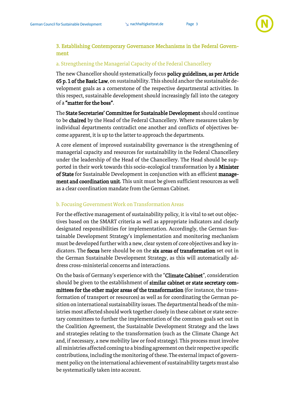#### <span id="page-3-0"></span>3. Establishing Contemporary Governance Mechanisms in the Federal Government

#### a. Strengthening the Managerial Capacity of the Federal Chancellery

The new Chancellor should systematically focus policy guidelines, as per Article 65 p. 1 of the Basic Law, on sustainability. This should anchor the sustainable development goals as a cornerstone of the respective departmental activities. In this respect, sustainable development should increasingly fall into the category of a "matter for the boss".

The State Secretaries' Committee for Sustainable Development should continue to be chaired by the Head of the Federal Chancellery. Where measures taken by individual departments contradict one another and conflicts of objectives become apparent, it is up to the latter to approach the departments.

A core element of improved sustainability governance is the strengthening of managerial capacity and resources for sustainability in the Federal Chancellery under the leadership of the Head of the Chancellery. The Head should be supported in their work towards this socio-ecological transformation by a Minister of State for Sustainable Development in conjunction with an efficient management and coordination unit. This unit must be given sufficient resources as well as a clear coordination mandate from the German Cabinet.

#### b. Focusing Government Work on Transformation Areas

For the effective management of sustainability policy, it is vital to set out objectives based on the SMART criteria as well as appropriate indicators and clearly designated responsibilities for implementation. Accordingly, the German Sustainable Development Strategy's implementation and monitoring mechanism must be developed further with a new, clear system of core objectives and key indicators. The focus here should be on the six areas of transformation set out in the German Sustainable Development Strategy, as this will automatically address cross-ministerial concerns and interactions.

On the basis of Germany's experience with the "Climate Cabinet", consideration should be given to the establishment of similar cabinet or state secretary committees for the other major areas of the transformation (for instance, the transformation of transport or resources) as well as for coordinating the German position on international sustainability issues. The departmental heads of the ministries most affected should work together closely in these cabinet or state secretary committees to further the implementation of the common goals set out in the Coalition Agreement, the Sustainable Development Strategy and the laws and strategies relating to the transformation (such as the Climate Change Act and, if necessary, a new mobility law or food strategy). This process must involve all ministries affected coming to a binding agreement on their respective specific contributions, including the monitoring of these. The external impact of government policy on the international achievement of sustainability targets must also be systematically taken into account.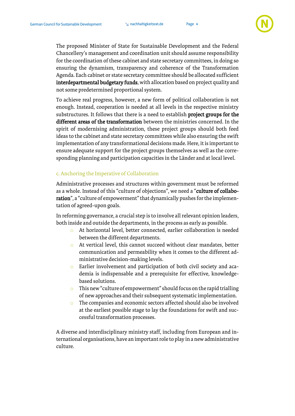

The proposed Minister of State for Sustainable Development and the Federal Chancellery's management and coordination unit should assume responsibility for the coordination of these cabinet and state secretary committees, in doing so ensuring the dynamism, transparency and coherence of the Transformation Agenda. Each cabinet or state secretary committee should be allocated sufficient interdepartmental budgetary funds, with allocation based on project quality and not some predetermined proportional system.

To achieve real progress, however, a new form of political collaboration is not enough. Instead, cooperation is needed at all levels in the respective ministry substructures. It follows that there is a need to establish **project groups for the** different areas of the transformation between the ministries concerned. In the spirit of modernising administration, these project groups should both feed ideas to the cabinet and state secretary committees while also ensuring the swift implementation of any transformational decisions made. Here, it is important to ensure adequate support for the project groups themselves as well as the corresponding planning and participation capacities in the Länder and at local level.

#### c. Anchoring the Imperative of Collaboration

Administrative processes and structures within government must be reformed as a whole. Instead of this "culture of objections", we need a "culture of collaboration", a "culture of empowerment" that dynamically pushes for the implementation of agreed-upon goals.

In reforming governance, a crucial step is to involve all relevant opinion leaders, both inside and outside the departments, in the process as early as possible.

- o At horizontal level, better connected, earlier collaboration is needed between the different departments.
- o At vertical level, this cannot succeed without clear mandates, better communication and permeability when it comes to the different administrative decision-making levels.
- o Earlier involvement and participation of both civil society and academia is indispensable and a prerequisite for effective, knowledgebased solutions.
- o This new "culture of empowerment" should focus on the rapid trialling of new approaches and their subsequent systematic implementation.
- o The companies and economic sectors affected should also be involved at the earliest possible stage to lay the foundations for swift and successful transformation processes.

A diverse and interdisciplinary ministry staff, including from European and international organisations, have an important role to play in a new administrative culture.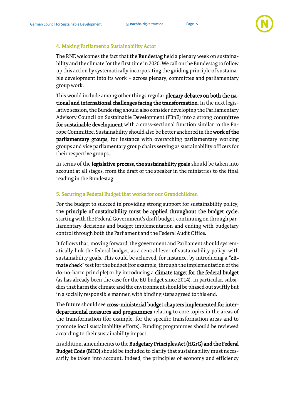#### <span id="page-5-0"></span>4. Making Parliament a Sustainability Actor

The RNE welcomes the fact that the Bundestag held a plenary week on sustainability and the climate for the first time in 2020. We call on the Bundestag to follow up this action by systematically incorporating the guiding principle of sustainable development into its work – across plenary, committee and parliamentary group work.

This would include among other things regular plenary debates on both the national and international challenges facing the transformation. In the next legislative session, the Bundestag should also consider developing the Parliamentary Advisory Council on Sustainable Development (PBnE) into a strong committee for sustainable development with a cross-sectional function similar to the Europe Committee. Sustainability should also be better anchored in the work of the parliamentary groups, for instance with overarching parliamentary working groups and vice parliamentary group chairs serving as sustainability officers for their respective groups.

In terms of the legislative process, the sustainability goals should be taken into account at all stages, from the draft of the speaker in the ministries to the final reading in the Bundestag.

#### <span id="page-5-1"></span>5. Securing a Federal Budget that works for our Grandchildren

For the budget to succeed in providing strong support for sustainability policy, the principle of sustainability must be applied throughout the budget cycle, starting with the Federal Government's draft budget, continuing on through parliamentary decisions and budget implementation and ending with budgetary control through both the Parliament and the Federal Audit Office.

It follows that, moving forward, the government and Parliament should systematically link the federal budget, as a central lever of sustainability policy, with sustainability goals. This could be achieved, for instance, by introducing a "climate check" test for the budget (for example, through the implementation of the do-no-harm principle) or by introducing a climate target for the federal budget (as has already been the case for the EU budget since 2014). In particular, subsidies that harm the climate and the environment should be phased out swiftly but in a socially responsible manner, with binding steps agreed to this end.

The future should see cross-ministerial budget chapters implemented for interdepartmental measures and programmes relating to core topics in the areas of the transformation (for example, for the specific transformation areas and to promote local sustainability efforts). Funding programmes should be reviewed according to their sustainability impact.

In addition, amendments to the Budgetary Principles Act (HGrG) and the Federal Budget Code (BHO) should be included to clarify that sustainability must necessarily be taken into account. Indeed, the principles of economy and efficiency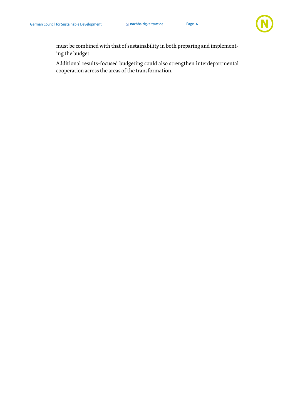

must be combined with that of sustainability in both preparing and implementing the budget.

Additional results-focused budgeting could also strengthen interdepartmental cooperation across the areas of the transformation.